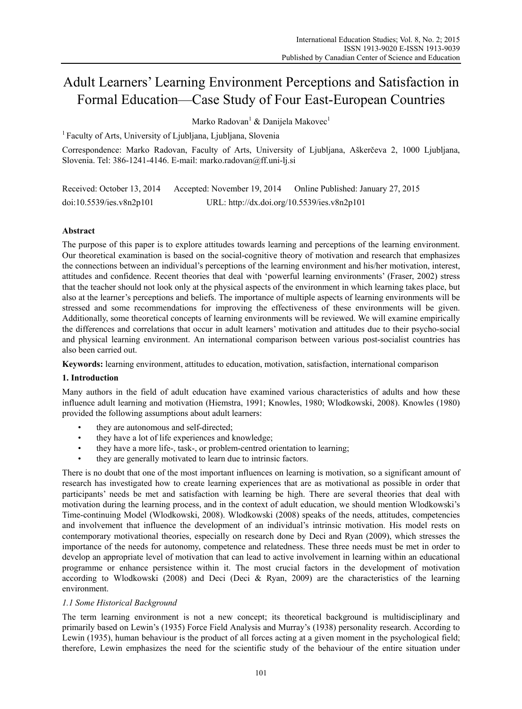# Adult Learners' Learning Environment Perceptions and Satisfaction in Formal Education—Case Study of Four East-European Countries

Marko Radovan<sup>1</sup> & Danijela Makovec<sup>1</sup>

<sup>1</sup> Faculty of Arts, University of Ljubliana, Ljubliana, Slovenia

Correspondence: Marko Radovan, Faculty of Arts, University of Ljubljana, Aškerčeva 2, 1000 Ljubljana, Slovenia. Tel: 386-1241-4146. E-mail: marko.radovan@ff.uni-lj.si

Received: October 13, 2014 Accepted: November 19, 2014 Online Published: January 27, 2015 doi:10.5539/ies.v8n2p101 URL: http://dx.doi.org/10.5539/ies.v8n2p101

# **Abstract**

The purpose of this paper is to explore attitudes towards learning and perceptions of the learning environment. Our theoretical examination is based on the social-cognitive theory of motivation and research that emphasizes the connections between an individual's perceptions of the learning environment and his/her motivation, interest, attitudes and confidence. Recent theories that deal with 'powerful learning environments' (Fraser, 2002) stress that the teacher should not look only at the physical aspects of the environment in which learning takes place, but also at the learner's perceptions and beliefs. The importance of multiple aspects of learning environments will be stressed and some recommendations for improving the effectiveness of these environments will be given. Additionally, some theoretical concepts of learning environments will be reviewed. We will examine empirically the differences and correlations that occur in adult learners' motivation and attitudes due to their psycho-social and physical learning environment. An international comparison between various post-socialist countries has also been carried out.

**Keywords:** learning environment, attitudes to education, motivation, satisfaction, international comparison

# **1. Introduction**

Many authors in the field of adult education have examined various characteristics of adults and how these influence adult learning and motivation (Hiemstra, 1991; Knowles, 1980; Wlodkowski, 2008). Knowles (1980) provided the following assumptions about adult learners:

- they are autonomous and self-directed;
- they have a lot of life experiences and knowledge;
- they have a more life-, task-, or problem-centred orientation to learning;
- they are generally motivated to learn due to intrinsic factors.

There is no doubt that one of the most important influences on learning is motivation, so a significant amount of research has investigated how to create learning experiences that are as motivational as possible in order that participants' needs be met and satisfaction with learning be high. There are several theories that deal with motivation during the learning process, and in the context of adult education, we should mention Wlodkowski's Time-continuing Model (Wlodkowski, 2008). Wlodkowski (2008) speaks of the needs, attitudes, competencies and involvement that influence the development of an individual's intrinsic motivation. His model rests on contemporary motivational theories, especially on research done by Deci and Ryan (2009), which stresses the importance of the needs for autonomy, competence and relatedness. These three needs must be met in order to develop an appropriate level of motivation that can lead to active involvement in learning within an educational programme or enhance persistence within it. The most crucial factors in the development of motivation according to Wlodkowski (2008) and Deci (Deci & Ryan, 2009) are the characteristics of the learning environment.

## *1.1 Some Historical Background*

The term learning environment is not a new concept; its theoretical background is multidisciplinary and primarily based on Lewin's (1935) Force Field Analysis and Murray's (1938) personality research. According to Lewin (1935), human behaviour is the product of all forces acting at a given moment in the psychological field; therefore, Lewin emphasizes the need for the scientific study of the behaviour of the entire situation under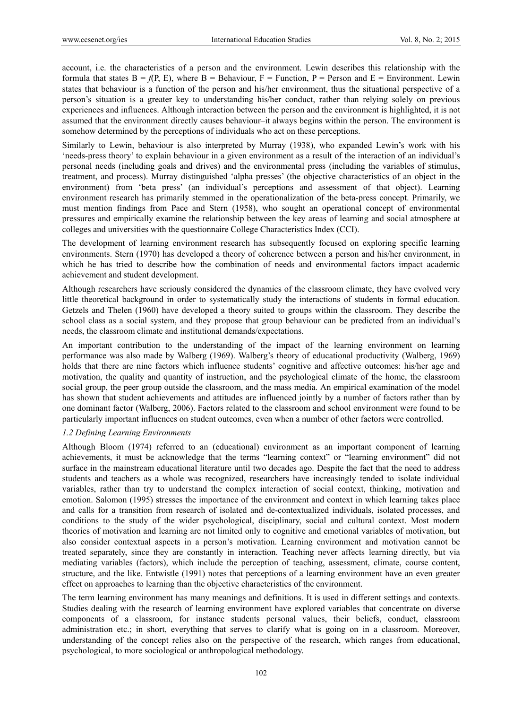account, i.e. the characteristics of a person and the environment. Lewin describes this relationship with the formula that states  $B = f(P, E)$ , where  $B =$  Behaviour,  $F =$  Function,  $P =$  Person and  $E =$  Environment. Lewin states that behaviour is a function of the person and his/her environment, thus the situational perspective of a person's situation is a greater key to understanding his/her conduct, rather than relying solely on previous experiences and influences. Although interaction between the person and the environment is highlighted, it is not assumed that the environment directly causes behaviour–it always begins within the person. The environment is somehow determined by the perceptions of individuals who act on these perceptions.

Similarly to Lewin, behaviour is also interpreted by Murray (1938), who expanded Lewin's work with his 'needs-press theory' to explain behaviour in a given environment as a result of the interaction of an individual's personal needs (including goals and drives) and the environmental press (including the variables of stimulus, treatment, and process). Murray distinguished 'alpha presses' (the objective characteristics of an object in the environment) from 'beta press' (an individual's perceptions and assessment of that object). Learning environment research has primarily stemmed in the operationalization of the beta-press concept. Primarily, we must mention findings from Pace and Stern (1958), who sought an operational concept of environmental pressures and empirically examine the relationship between the key areas of learning and social atmosphere at colleges and universities with the questionnaire College Characteristics Index (CCI).

The development of learning environment research has subsequently focused on exploring specific learning environments. Stern (1970) has developed a theory of coherence between a person and his/her environment, in which he has tried to describe how the combination of needs and environmental factors impact academic achievement and student development.

Although researchers have seriously considered the dynamics of the classroom climate, they have evolved very little theoretical background in order to systematically study the interactions of students in formal education. Getzels and Thelen (1960) have developed a theory suited to groups within the classroom. They describe the school class as a social system, and they propose that group behaviour can be predicted from an individual's needs, the classroom climate and institutional demands/expectations.

An important contribution to the understanding of the impact of the learning environment on learning performance was also made by Walberg (1969). Walberg's theory of educational productivity (Walberg, 1969) holds that there are nine factors which influence students' cognitive and affective outcomes: his/her age and motivation, the quality and quantity of instruction, and the psychological climate of the home, the classroom social group, the peer group outside the classroom, and the mass media. An empirical examination of the model has shown that student achievements and attitudes are influenced jointly by a number of factors rather than by one dominant factor (Walberg, 2006). Factors related to the classroom and school environment were found to be particularly important influences on student outcomes, even when a number of other factors were controlled.

# *1.2 Defining Learning Environments*

Although Bloom (1974) referred to an (educational) environment as an important component of learning achievements, it must be acknowledge that the terms "learning context" or "learning environment" did not surface in the mainstream educational literature until two decades ago. Despite the fact that the need to address students and teachers as a whole was recognized, researchers have increasingly tended to isolate individual variables, rather than try to understand the complex interaction of social context, thinking, motivation and emotion. Salomon (1995) stresses the importance of the environment and context in which learning takes place and calls for a transition from research of isolated and de-contextualized individuals, isolated processes, and conditions to the study of the wider psychological, disciplinary, social and cultural context. Most modern theories of motivation and learning are not limited only to cognitive and emotional variables of motivation, but also consider contextual aspects in a person's motivation. Learning environment and motivation cannot be treated separately, since they are constantly in interaction. Teaching never affects learning directly, but via mediating variables (factors), which include the perception of teaching, assessment, climate, course content, structure, and the like. Entwistle (1991) notes that perceptions of a learning environment have an even greater effect on approaches to learning than the objective characteristics of the environment.

The term learning environment has many meanings and definitions. It is used in different settings and contexts. Studies dealing with the research of learning environment have explored variables that concentrate on diverse components of a classroom, for instance students personal values, their beliefs, conduct, classroom administration etc.; in short, everything that serves to clarify what is going on in a classroom. Moreover, understanding of the concept relies also on the perspective of the research, which ranges from educational, psychological, to more sociological or anthropological methodology.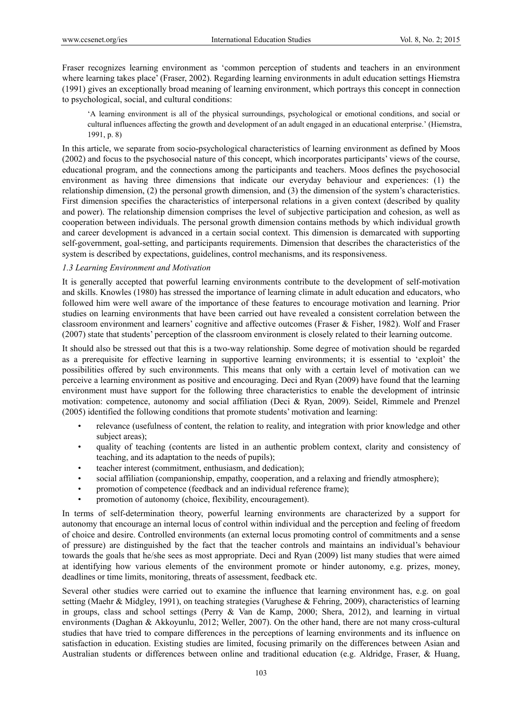Fraser recognizes learning environment as 'common perception of students and teachers in an environment where learning takes place' (Fraser, 2002). Regarding learning environments in adult education settings Hiemstra (1991) gives an exceptionally broad meaning of learning environment, which portrays this concept in connection to psychological, social, and cultural conditions:

'A learning environment is all of the physical surroundings, psychological or emotional conditions, and social or cultural influences affecting the growth and development of an adult engaged in an educational enterprise.' (Hiemstra, 1991, p. 8)

In this article, we separate from socio-psychological characteristics of learning environment as defined by Moos (2002) and focus to the psychosocial nature of this concept, which incorporates participants' views of the course, educational program, and the connections among the participants and teachers. Moos defines the psychosocial environment as having three dimensions that indicate our everyday behaviour and experiences: (1) the relationship dimension, (2) the personal growth dimension, and (3) the dimension of the system's characteristics. First dimension specifies the characteristics of interpersonal relations in a given context (described by quality and power). The relationship dimension comprises the level of subjective participation and cohesion, as well as cooperation between individuals. The personal growth dimension contains methods by which individual growth and career development is advanced in a certain social context. This dimension is demarcated with supporting self-government, goal-setting, and participants requirements. Dimension that describes the characteristics of the system is described by expectations, guidelines, control mechanisms, and its responsiveness.

## *1.3 Learning Environment and Motivation*

It is generally accepted that powerful learning environments contribute to the development of self-motivation and skills. Knowles (1980) has stressed the importance of learning climate in adult education and educators, who followed him were well aware of the importance of these features to encourage motivation and learning. Prior studies on learning environments that have been carried out have revealed a consistent correlation between the classroom environment and learners' cognitive and affective outcomes (Fraser & Fisher, 1982). Wolf and Fraser (2007) state that students' perception of the classroom environment is closely related to their learning outcome.

It should also be stressed out that this is a two-way relationship. Some degree of motivation should be regarded as a prerequisite for effective learning in supportive learning environments; it is essential to 'exploit' the possibilities offered by such environments. This means that only with a certain level of motivation can we perceive a learning environment as positive and encouraging. Deci and Ryan (2009) have found that the learning environment must have support for the following three characteristics to enable the development of intrinsic motivation: competence, autonomy and social affiliation (Deci & Ryan, 2009). Seidel, Rimmele and Prenzel (2005) identified the following conditions that promote students' motivation and learning:

- relevance (usefulness of content, the relation to reality, and integration with prior knowledge and other subject areas);
- quality of teaching (contents are listed in an authentic problem context, clarity and consistency of teaching, and its adaptation to the needs of pupils);
- teacher interest (commitment, enthusiasm, and dedication);
- social affiliation (companionship, empathy, cooperation, and a relaxing and friendly atmosphere);
- promotion of competence (feedback and an individual reference frame);
- promotion of autonomy (choice, flexibility, encouragement).

In terms of self-determination theory, powerful learning environments are characterized by a support for autonomy that encourage an internal locus of control within individual and the perception and feeling of freedom of choice and desire. Controlled environments (an external locus promoting control of commitments and a sense of pressure) are distinguished by the fact that the teacher controls and maintains an individual's behaviour towards the goals that he/she sees as most appropriate. Deci and Ryan (2009) list many studies that were aimed at identifying how various elements of the environment promote or hinder autonomy, e.g. prizes, money, deadlines or time limits, monitoring, threats of assessment, feedback etc.

Several other studies were carried out to examine the influence that learning environment has, e.g. on goal setting (Maehr & Midgley, 1991), on teaching strategies (Varughese & Fehring, 2009), characteristics of learning in groups, class and school settings (Perry & Van de Kamp, 2000; Shera, 2012), and learning in virtual environments (Daghan & Akkoyunlu, 2012; Weller, 2007). On the other hand, there are not many cross-cultural studies that have tried to compare differences in the perceptions of learning environments and its influence on satisfaction in education. Existing studies are limited, focusing primarily on the differences between Asian and Australian students or differences between online and traditional education (e.g. Aldridge, Fraser, & Huang,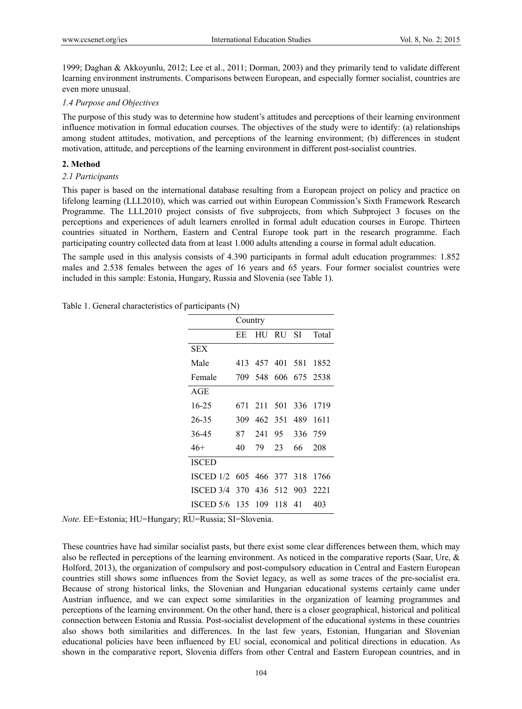1999; Daghan & Akkoyunlu, 2012; Lee et al., 2011; Dorman, 2003) and they primarily tend to validate different learning environment instruments. Comparisons between European, and especially former socialist, countries are even more unusual.

#### *1.4 Purpose and Objectives*

The purpose of this study was to determine how student's attitudes and perceptions of their learning environment influence motivation in formal education courses. The objectives of the study were to identify: (a) relationships among student attitudes, motivation, and perceptions of the learning environment; (b) differences in student motivation, attitude, and perceptions of the learning environment in different post-socialist countries.

#### **2. Method**

#### *2.1 Participants*

This paper is based on the international database resulting from a European project on policy and practice on lifelong learning (LLL2010), which was carried out within European Commission's Sixth Framework Research Programme. The LLL2010 project consists of five subprojects, from which Subproject 3 focuses on the perceptions and experiences of adult learners enrolled in formal adult education courses in Europe. Thirteen countries situated in Northern, Eastern and Central Europe took part in the research programme. Each participating country collected data from at least 1.000 adults attending a course in formal adult education.

The sample used in this analysis consists of 4.390 participants in formal adult education programmes: 1.852 males and 2.538 females between the ages of 16 years and 65 years. Four former socialist countries were included in this sample: Estonia, Hungary, Russia and Slovenia (see Table 1).

Table 1. General characteristics of participants (N)

|                           | Country |     |           |     |          |  |  |
|---------------------------|---------|-----|-----------|-----|----------|--|--|
|                           | EЕ      | HU  | <b>RU</b> | SІ  | Total    |  |  |
| SEX                       |         |     |           |     |          |  |  |
| Male                      | 413     |     | 457 401   | 581 | 1852     |  |  |
| Female                    | 709     | 548 | 606 -     |     | 675 2538 |  |  |
| AGE                       |         |     |           |     |          |  |  |
| 16-25                     | 671     | 211 | 501       | 336 | 1719     |  |  |
| 26-35                     | 309     | 462 | 351       | 489 | 1611     |  |  |
| 36-45                     | 87      | 241 | 95        | 336 | 759      |  |  |
| 46+                       | 40      | 79  | 23        | 66  | 208      |  |  |
| <b>ISCED</b>              |         |     |           |     |          |  |  |
| ISCED 1/2 605 466 377 318 |         |     |           |     | 1766     |  |  |
| ISCED 3/4 370             |         | 436 | 512       | 903 | 2221     |  |  |
| ISCED 5/6 135             |         | 109 | 118       | 41  | 403      |  |  |

*Note*. EE=Estonia; HU=Hungary; RU=Russia; SI=Slovenia.

These countries have had similar socialist pasts, but there exist some clear differences between them, which may also be reflected in perceptions of the learning environment. As noticed in the comparative reports (Saar, Ure, & Holford, 2013), the organization of compulsory and post-compulsory education in Central and Eastern European countries still shows some influences from the Soviet legacy, as well as some traces of the pre-socialist era. Because of strong historical links, the Slovenian and Hungarian educational systems certainly came under Austrian influence, and we can expect some similarities in the organization of learning programmes and perceptions of the learning environment. On the other hand, there is a closer geographical, historical and political connection between Estonia and Russia. Post-socialist development of the educational systems in these countries also shows both similarities and differences. In the last few years, Estonian, Hungarian and Slovenian educational policies have been influenced by EU social, economical and political directions in education. As shown in the comparative report, Slovenia differs from other Central and Eastern European countries, and in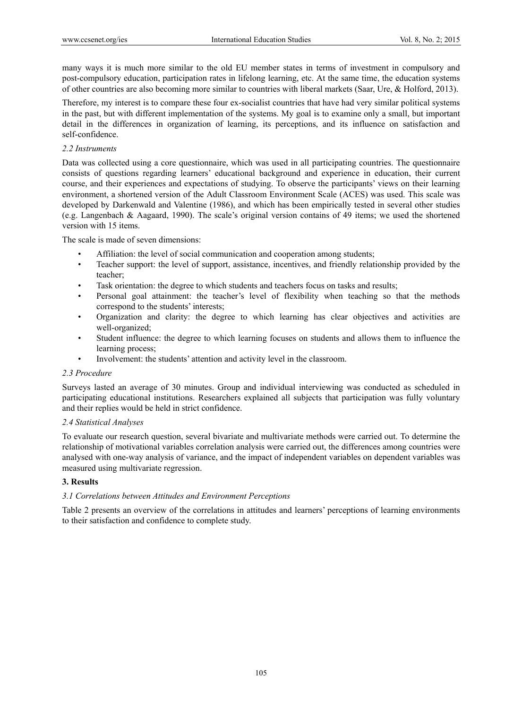many ways it is much more similar to the old EU member states in terms of investment in compulsory and post-compulsory education, participation rates in lifelong learning, etc. At the same time, the education systems of other countries are also becoming more similar to countries with liberal markets (Saar, Ure, & Holford, 2013).

Therefore, my interest is to compare these four ex-socialist countries that have had very similar political systems in the past, but with different implementation of the systems. My goal is to examine only a small, but important detail in the differences in organization of learning, its perceptions, and its influence on satisfaction and self-confidence.

## *2.2 Instruments*

Data was collected using a core questionnaire, which was used in all participating countries. The questionnaire consists of questions regarding learners' educational background and experience in education, their current course, and their experiences and expectations of studying. To observe the participants' views on their learning environment, a shortened version of the Adult Classroom Environment Scale (ACES) was used. This scale was developed by Darkenwald and Valentine (1986), and which has been empirically tested in several other studies (e.g. Langenbach & Aagaard, 1990). The scale's original version contains of 49 items; we used the shortened version with 15 items.

The scale is made of seven dimensions:

- Affiliation: the level of social communication and cooperation among students;
- Teacher support: the level of support, assistance, incentives, and friendly relationship provided by the teacher;
- Task orientation: the degree to which students and teachers focus on tasks and results;
- Personal goal attainment: the teacher's level of flexibility when teaching so that the methods correspond to the students' interests;
- Organization and clarity: the degree to which learning has clear objectives and activities are well-organized;
- Student influence: the degree to which learning focuses on students and allows them to influence the learning process;
- Involvement: the students' attention and activity level in the classroom.

#### *2.3 Procedure*

Surveys lasted an average of 30 minutes. Group and individual interviewing was conducted as scheduled in participating educational institutions. Researchers explained all subjects that participation was fully voluntary and their replies would be held in strict confidence.

#### *2.4 Statistical Analyses*

To evaluate our research question, several bivariate and multivariate methods were carried out. To determine the relationship of motivational variables correlation analysis were carried out, the differences among countries were analysed with one-way analysis of variance, and the impact of independent variables on dependent variables was measured using multivariate regression.

#### **3. Results**

# *3.1 Correlations between Attitudes and Environment Perceptions*

Table 2 presents an overview of the correlations in attitudes and learners' perceptions of learning environments to their satisfaction and confidence to complete study.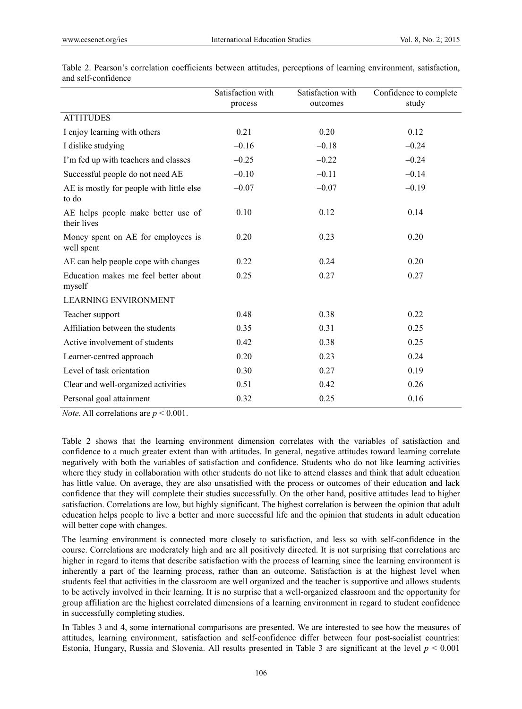|                                                   | Satisfaction with<br>process | Satisfaction with<br>outcomes | Confidence to complete<br>study |
|---------------------------------------------------|------------------------------|-------------------------------|---------------------------------|
| <b>ATTITUDES</b>                                  |                              |                               |                                 |
| I enjoy learning with others                      | 0.21                         | 0.20                          | 0.12                            |
| I dislike studying                                | $-0.16$                      | $-0.18$                       | $-0.24$                         |
| I'm fed up with teachers and classes              | $-0.25$                      | $-0.22$                       | $-0.24$                         |
| Successful people do not need AE                  | $-0.10$                      | $-0.11$                       | $-0.14$                         |
| AE is mostly for people with little else<br>to do | $-0.07$                      | $-0.07$                       | $-0.19$                         |
| AE helps people make better use of<br>their lives | 0.10                         | 0.12                          | 0.14                            |
| Money spent on AE for employees is<br>well spent  | 0.20                         | 0.23                          | 0.20                            |
| AE can help people cope with changes              | 0.22                         | 0.24                          | 0.20                            |
| Education makes me feel better about<br>myself    | 0.25                         | 0.27                          | 0.27                            |
| <b>LEARNING ENVIRONMENT</b>                       |                              |                               |                                 |
| Teacher support                                   | 0.48                         | 0.38                          | 0.22                            |
| Affiliation between the students                  | 0.35                         | 0.31                          | 0.25                            |
| Active involvement of students                    | 0.42                         | 0.38                          | 0.25                            |
| Learner-centred approach                          | 0.20                         | 0.23                          | 0.24                            |
| Level of task orientation                         | 0.30                         | 0.27                          | 0.19                            |
| Clear and well-organized activities               | 0.51                         | 0.42                          | 0.26                            |
| Personal goal attainment                          | 0.32                         | 0.25                          | 0.16                            |

Table 2. Pearson's correlation coefficients between attitudes, perceptions of learning environment, satisfaction, and self-confidence

*Note*. All correlations are *p* < 0.001.

Table 2 shows that the learning environment dimension correlates with the variables of satisfaction and confidence to a much greater extent than with attitudes. In general, negative attitudes toward learning correlate negatively with both the variables of satisfaction and confidence. Students who do not like learning activities where they study in collaboration with other students do not like to attend classes and think that adult education has little value. On average, they are also unsatisfied with the process or outcomes of their education and lack confidence that they will complete their studies successfully. On the other hand, positive attitudes lead to higher satisfaction. Correlations are low, but highly significant. The highest correlation is between the opinion that adult education helps people to live a better and more successful life and the opinion that students in adult education will better cope with changes.

The learning environment is connected more closely to satisfaction, and less so with self-confidence in the course. Correlations are moderately high and are all positively directed. It is not surprising that correlations are higher in regard to items that describe satisfaction with the process of learning since the learning environment is inherently a part of the learning process, rather than an outcome. Satisfaction is at the highest level when students feel that activities in the classroom are well organized and the teacher is supportive and allows students to be actively involved in their learning. It is no surprise that a well-organized classroom and the opportunity for group affiliation are the highest correlated dimensions of a learning environment in regard to student confidence in successfully completing studies.

In Tables 3 and 4, some international comparisons are presented. We are interested to see how the measures of attitudes, learning environment, satisfaction and self-confidence differ between four post-socialist countries: Estonia, Hungary, Russia and Slovenia. All results presented in Table 3 are significant at the level *p* < 0.001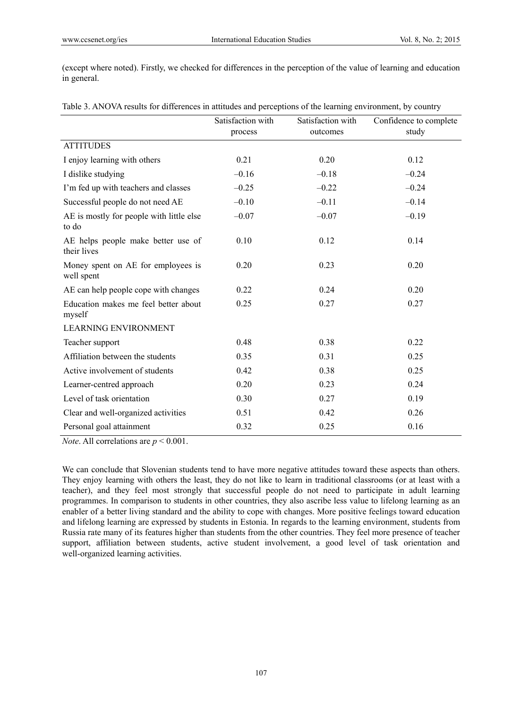(except where noted). Firstly, we checked for differences in the perception of the value of learning and education in general.

|                                                   | Satisfaction with<br>process | Satisfaction with<br>outcomes | Confidence to complete<br>study |
|---------------------------------------------------|------------------------------|-------------------------------|---------------------------------|
| <b>ATTITUDES</b>                                  |                              |                               |                                 |
| I enjoy learning with others                      | 0.21                         | 0.20                          | 0.12                            |
| I dislike studying                                | $-0.16$                      | $-0.18$                       | $-0.24$                         |
| I'm fed up with teachers and classes              | $-0.25$                      | $-0.22$                       | $-0.24$                         |
| Successful people do not need AE                  | $-0.10$                      | $-0.11$                       | $-0.14$                         |
| AE is mostly for people with little else<br>to do | $-0.07$                      | $-0.07$                       | $-0.19$                         |
| AE helps people make better use of<br>their lives | 0.10                         | 0.12                          | 0.14                            |
| Money spent on AE for employees is<br>well spent  | 0.20                         | 0.23                          | 0.20                            |
| AE can help people cope with changes              | 0.22                         | 0.24                          | 0.20                            |
| Education makes me feel better about<br>myself    | 0.25                         | 0.27                          | 0.27                            |
| <b>LEARNING ENVIRONMENT</b>                       |                              |                               |                                 |
| Teacher support                                   | 0.48                         | 0.38                          | 0.22                            |
| Affiliation between the students                  | 0.35                         | 0.31                          | 0.25                            |
| Active involvement of students                    | 0.42                         | 0.38                          | 0.25                            |
| Learner-centred approach                          | 0.20                         | 0.23                          | 0.24                            |
| Level of task orientation                         | 0.30                         | 0.27                          | 0.19                            |
| Clear and well-organized activities               | 0.51                         | 0.42                          | 0.26                            |
| Personal goal attainment                          | 0.32                         | 0.25                          | 0.16                            |

| Table 3. ANOVA results for differences in attitudes and perceptions of the learning environment, by country |  |  |  |  |
|-------------------------------------------------------------------------------------------------------------|--|--|--|--|
|                                                                                                             |  |  |  |  |

*Note*. All correlations are *p* < 0.001.

We can conclude that Slovenian students tend to have more negative attitudes toward these aspects than others. They enjoy learning with others the least, they do not like to learn in traditional classrooms (or at least with a teacher), and they feel most strongly that successful people do not need to participate in adult learning programmes. In comparison to students in other countries, they also ascribe less value to lifelong learning as an enabler of a better living standard and the ability to cope with changes. More positive feelings toward education and lifelong learning are expressed by students in Estonia. In regards to the learning environment, students from Russia rate many of its features higher than students from the other countries. They feel more presence of teacher support, affiliation between students, active student involvement, a good level of task orientation and well-organized learning activities.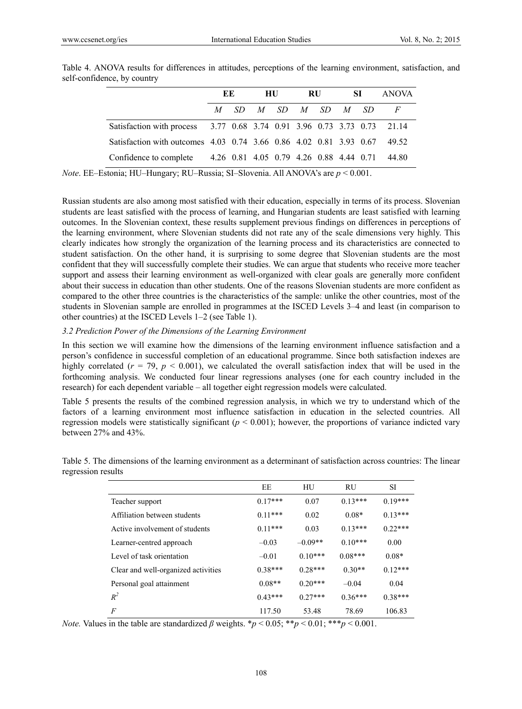|                                                                         | EE                                      |     | HU |           | RU- |  | SI. | ANOVA          |
|-------------------------------------------------------------------------|-----------------------------------------|-----|----|-----------|-----|--|-----|----------------|
|                                                                         | M                                       | SD. |    | MSDMSDMSD |     |  |     | $\overline{F}$ |
| Satisfaction with process 3.77 0.68 3.74 0.91 3.96 0.73 3.73 0.73 21.14 |                                         |     |    |           |     |  |     |                |
| Satisfaction with outcomes 4.03 0.74 3.66 0.86 4.02 0.81 3.93 0.67      |                                         |     |    |           |     |  |     | 49.52          |
| Confidence to complete                                                  | 4.26 0.81 4.05 0.79 4.26 0.88 4.44 0.71 |     |    |           |     |  |     | 44.80          |

Table 4. ANOVA results for differences in attitudes, perceptions of the learning environment, satisfaction, and self-confidence, by country

*Note*. EE–Estonia; HU–Hungary; RU–Russia; SI–Slovenia. All ANOVA's are *p* < 0.001.

Russian students are also among most satisfied with their education, especially in terms of its process. Slovenian students are least satisfied with the process of learning, and Hungarian students are least satisfied with learning outcomes. In the Slovenian context, these results supplement previous findings on differences in perceptions of the learning environment, where Slovenian students did not rate any of the scale dimensions very highly. This clearly indicates how strongly the organization of the learning process and its characteristics are connected to student satisfaction. On the other hand, it is surprising to some degree that Slovenian students are the most confident that they will successfully complete their studies. We can argue that students who receive more teacher support and assess their learning environment as well-organized with clear goals are generally more confident about their success in education than other students. One of the reasons Slovenian students are more confident as compared to the other three countries is the characteristics of the sample: unlike the other countries, most of the students in Slovenian sample are enrolled in programmes at the ISCED Levels 3–4 and least (in comparison to other countries) at the ISCED Levels 1–2 (see Table 1).

# *3.2 Prediction Power of the Dimensions of the Learning Environment*

In this section we will examine how the dimensions of the learning environment influence satisfaction and a person's confidence in successful completion of an educational programme. Since both satisfaction indexes are highly correlated  $(r = 79, p < 0.001)$ , we calculated the overall satisfaction index that will be used in the forthcoming analysis. We conducted four linear regressions analyses (one for each country included in the research) for each dependent variable – all together eight regression models were calculated.

Table 5 presents the results of the combined regression analysis, in which we try to understand which of the factors of a learning environment most influence satisfaction in education in the selected countries. All regression models were statistically significant  $(p < 0.001)$ ; however, the proportions of variance indicted vary between 27% and 43%.

|                                     | EE        | HU        | <b>RU</b> | SI        |
|-------------------------------------|-----------|-----------|-----------|-----------|
| Teacher support                     | $0.17***$ | 0.07      | $0.13***$ | $0.19***$ |
| Affiliation between students        | $0.11***$ | 0.02      | $0.08*$   | $0.13***$ |
| Active involvement of students      | $0.11***$ | 0.03      | $0.13***$ | $0.22***$ |
| Learner-centred approach            | $-0.03$   | $-0.09**$ | $0.10***$ | 0.00      |
| Level of task orientation           | $-0.01$   | $0.10***$ | $0.08***$ | $0.08*$   |
| Clear and well-organized activities | $0.38***$ | $0.28***$ | $0.30**$  | $0.12***$ |
| Personal goal attainment            | $0.08**$  | $0.20***$ | $-0.04$   | 0.04      |
| $R^2$                               | $0.43***$ | $0.27***$ | $0.36***$ | $0.38***$ |
| F                                   | 117.50    | 53.48     | 78.69     | 106.83    |

Table 5. The dimensions of the learning environment as a determinant of satisfaction across countries: The linear regression results

*Note.* Values in the table are standardized *β* weights. \* $p < 0.05$ ; \*\* $p < 0.01$ ; \*\*\* $p < 0.001$ .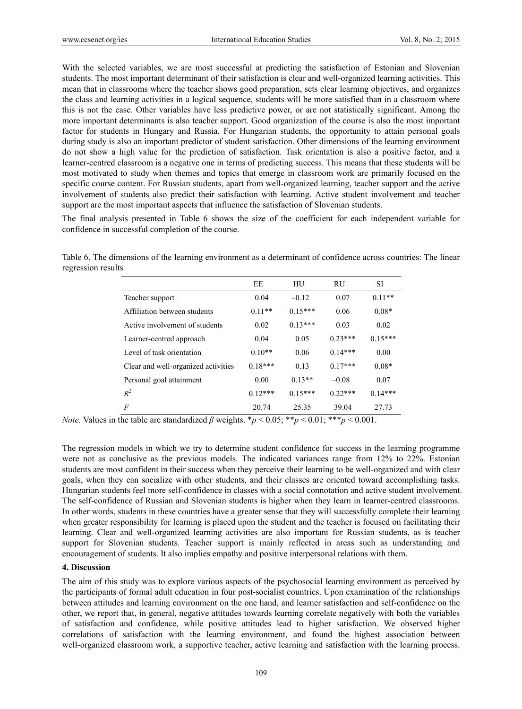With the selected variables, we are most successful at predicting the satisfaction of Estonian and Slovenian students. The most important determinant of their satisfaction is clear and well-organized learning activities. This mean that in classrooms where the teacher shows good preparation, sets clear learning objectives, and organizes the class and learning activities in a logical sequence, students will be more satisfied than in a classroom where this is not the case. Other variables have less predictive power, or are not statistically significant. Among the more important determinants is also teacher support. Good organization of the course is also the most important factor for students in Hungary and Russia. For Hungarian students, the opportunity to attain personal goals during study is also an important predictor of student satisfaction. Other dimensions of the learning environment do not show a high value for the prediction of satisfaction. Task orientation is also a positive factor, and a learner-centred classroom is a negative one in terms of predicting success. This means that these students will be most motivated to study when themes and topics that emerge in classroom work are primarily focused on the specific course content. For Russian students, apart from well-organized learning, teacher support and the active involvement of students also predict their satisfaction with learning. Active student involvement and teacher support are the most important aspects that influence the satisfaction of Slovenian students.

The final analysis presented in Table 6 shows the size of the coefficient for each independent variable for confidence in successful completion of the course.

Table 6. The dimensions of the learning environment as a determinant of confidence across countries: The linear regression results

|                                     | EE        | HU        | <b>RU</b> | <b>SI</b> |
|-------------------------------------|-----------|-----------|-----------|-----------|
| Teacher support                     | 0.04      | $-0.12$   | 0.07      | $0.11**$  |
| Affiliation between students        | $0.11**$  | $0.15***$ | 0.06      | $0.08*$   |
| Active involvement of students      | 0.02      | $0.13***$ | 0.03      | 0.02      |
| Learner-centred approach            | 0.04      | 0.05      | $0.23***$ | $0.15***$ |
| Level of task orientation           | $0.10**$  | 0.06      | $0.14***$ | 0.00      |
| Clear and well-organized activities | $0.18***$ | 0.13      | $0.17***$ | $0.08*$   |
| Personal goal attainment            | 0.00      | $0.13**$  | $-0.08$   | 0.07      |
| $R^2$                               | $0.12***$ | $0.15***$ | $0.22***$ | $0.14***$ |
| F                                   | 20.74     | 25.35     | 39.04     | 27.73     |

*Note.* Values in the table are standardized *β* weights. \**p* < 0.05; \*\**p* < 0.01; \*\*\**p* < 0.001.

The regression models in which we try to determine student confidence for success in the learning programme were not as conclusive as the previous models. The indicated variances range from 12% to 22%. Estonian students are most confident in their success when they perceive their learning to be well-organized and with clear goals, when they can socialize with other students, and their classes are oriented toward accomplishing tasks. Hungarian students feel more self-confidence in classes with a social connotation and active student involvement. The self-confidence of Russian and Slovenian students is higher when they learn in learner-centred classrooms. In other words, students in these countries have a greater sense that they will successfully complete their learning when greater responsibility for learning is placed upon the student and the teacher is focused on facilitating their learning. Clear and well-organized learning activities are also important for Russian students, as is teacher support for Slovenian students. Teacher support is mainly reflected in areas such as understanding and encouragement of students. It also implies empathy and positive interpersonal relations with them.

#### **4. Discussion**

The aim of this study was to explore various aspects of the psychosocial learning environment as perceived by the participants of formal adult education in four post-socialist countries. Upon examination of the relationships between attitudes and learning environment on the one hand, and learner satisfaction and self-confidence on the other, we report that, in general, negative attitudes towards learning correlate negatively with both the variables of satisfaction and confidence, while positive attitudes lead to higher satisfaction. We observed higher correlations of satisfaction with the learning environment, and found the highest association between well-organized classroom work, a supportive teacher, active learning and satisfaction with the learning process.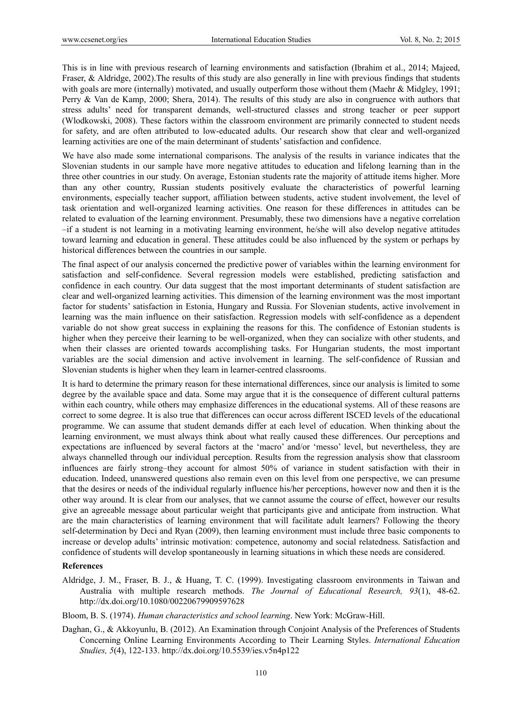This is in line with previous research of learning environments and satisfaction (Ibrahim et al., 2014; Majeed, Fraser, & Aldridge, 2002).The results of this study are also generally in line with previous findings that students with goals are more (internally) motivated, and usually outperform those without them (Maehr & Midgley, 1991; Perry & Van de Kamp, 2000; Shera, 2014). The results of this study are also in congruence with authors that stress adults' need for transparent demands, well-structured classes and strong teacher or peer support (Wlodkowski, 2008). These factors within the classroom environment are primarily connected to student needs for safety, and are often attributed to low-educated adults. Our research show that clear and well-organized learning activities are one of the main determinant of students' satisfaction and confidence.

We have also made some international comparisons. The analysis of the results in variance indicates that the Slovenian students in our sample have more negative attitudes to education and lifelong learning than in the three other countries in our study. On average, Estonian students rate the majority of attitude items higher. More than any other country, Russian students positively evaluate the characteristics of powerful learning environments, especially teacher support, affiliation between students, active student involvement, the level of task orientation and well-organized learning activities. One reason for these differences in attitudes can be related to evaluation of the learning environment. Presumably, these two dimensions have a negative correlation –if a student is not learning in a motivating learning environment, he/she will also develop negative attitudes toward learning and education in general. These attitudes could be also influenced by the system or perhaps by historical differences between the countries in our sample.

The final aspect of our analysis concerned the predictive power of variables within the learning environment for satisfaction and self-confidence. Several regression models were established, predicting satisfaction and confidence in each country. Our data suggest that the most important determinants of student satisfaction are clear and well-organized learning activities. This dimension of the learning environment was the most important factor for students' satisfaction in Estonia, Hungary and Russia. For Slovenian students, active involvement in learning was the main influence on their satisfaction. Regression models with self-confidence as a dependent variable do not show great success in explaining the reasons for this. The confidence of Estonian students is higher when they perceive their learning to be well-organized, when they can socialize with other students, and when their classes are oriented towards accomplishing tasks. For Hungarian students, the most important variables are the social dimension and active involvement in learning. The self-confidence of Russian and Slovenian students is higher when they learn in learner-centred classrooms.

It is hard to determine the primary reason for these international differences, since our analysis is limited to some degree by the available space and data. Some may argue that it is the consequence of different cultural patterns within each country, while others may emphasize differences in the educational systems. All of these reasons are correct to some degree. It is also true that differences can occur across different ISCED levels of the educational programme. We can assume that student demands differ at each level of education. When thinking about the learning environment, we must always think about what really caused these differences. Our perceptions and expectations are influenced by several factors at the 'macro' and/or 'messo' level, but nevertheless, they are always channelled through our individual perception. Results from the regression analysis show that classroom influences are fairly strong–they account for almost 50% of variance in student satisfaction with their in education. Indeed, unanswered questions also remain even on this level from one perspective, we can presume that the desires or needs of the individual regularly influence his/her perceptions, however now and then it is the other way around. It is clear from our analyses, that we cannot assume the course of effect, however our results give an agreeable message about particular weight that participants give and anticipate from instruction. What are the main characteristics of learning environment that will facilitate adult learners? Following the theory self-determination by Deci and Ryan (2009), then learning environment must include three basic components to increase or develop adults' intrinsic motivation: competence, autonomy and social relatedness. Satisfaction and confidence of students will develop spontaneously in learning situations in which these needs are considered.

#### **References**

- Aldridge, J. M., Fraser, B. J., & Huang, T. C. (1999). Investigating classroom environments in Taiwan and Australia with multiple research methods. *The Journal of Educational Research, 93*(1), 48-62. http://dx.doi.org**/**10.1080/00220679909597628
- Bloom, B. S. (1974). *Human characteristics and school learning*. New York: McGraw-Hill.
- Daghan, G., & Akkoyunlu, B. (2012). An Examination through Conjoint Analysis of the Preferences of Students Concerning Online Learning Environments According to Their Learning Styles. *International Education Studies, 5*(4), 122-133. http://dx.doi.org/10.5539/ies.v5n4p122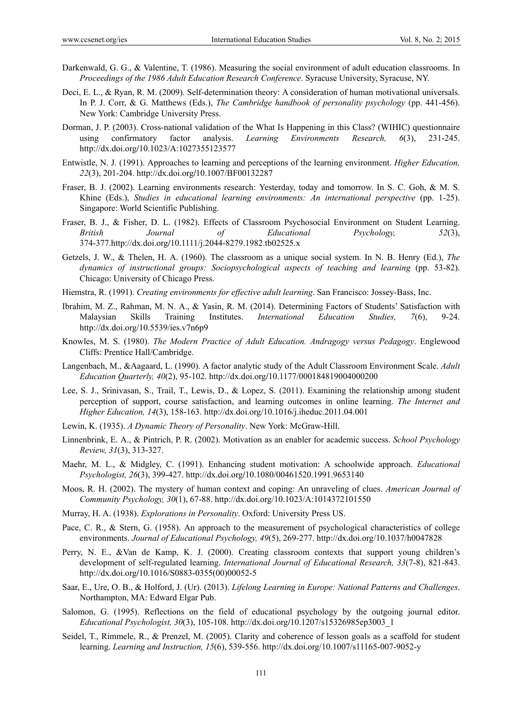- Darkenwald, G. G., & Valentine, T. (1986). Measuring the social environment of adult education classrooms. In *Proceedings of the 1986 Adult Education Research Conference*. Syracuse University, Syracuse, NY.
- Deci, E. L., & Ryan, R. M. (2009). Self-determination theory: A consideration of human motivational universals. In P. J. Corr, & G. Matthews (Eds.), *The Cambridge handbook of personality psychology* (pp. 441-456). New York: Cambridge University Press.
- Dorman, J. P. (2003). Cross-national validation of the What Is Happening in this Class? (WIHIC) questionnaire using confirmatory factor analysis. *Learning Environments Research, 6*(3), 231-245. http://dx.doi.org**/**10.1023/A:1027355123577
- Entwistle, N. J. (1991). Approaches to learning and perceptions of the learning environment. *Higher Education, 22*(3), 201-204. http://dx.doi.org**/**10.1007/BF00132287
- Fraser, B. J. (2002). Learning environments research: Yesterday, today and tomorrow. In S. C. Goh, & M. S. Khine (Eds.), *Studies in educational learning environments: An international perspective* (pp. 1-25). Singapore: World Scientific Publishing.
- Fraser, B. J., & Fisher, D. L. (1982). Effects of Classroom Psychosocial Environment on Student Learning. *British Journal of Educational Psychology, 52*(3), 374-377.http://dx.doi.org**/**10.1111/j.2044-8279.1982.tb02525.x
- Getzels, J. W., & Thelen, H. A. (1960). The classroom as a unique social system. In N. B. Henry (Ed.), *The dynamics of instructional groups: Sociopsychological aspects of teaching and learning* (pp. 53-82). Chicago: University of Chicago Press.
- Hiemstra, R. (1991). *Creating environments for effective adult learning*. San Francisco: Jossey-Bass, Inc.
- Ibrahim, M. Z., Rahman, M. N. A., & Yasin, R. M. (2014). Determining Factors of Students' Satisfaction with Malaysian Skills Training Institutes. *International Education Studies, 7*(6), 9-24. http://dx.doi.org/10.5539/ies.v7n6p9
- Knowles, M. S. (1980). *The Modern Practice of Adult Education. Andragogy versus Pedagogy*. Englewood Cliffs: Prentice Hall/Cambridge.
- Langenbach, M., &Aagaard, L. (1990). A factor analytic study of the Adult Classroom Environment Scale. *Adult Education Quarterly, 40*(2), 95-102. http://dx.doi.org**/**10.1177/000184819004000200
- Lee, S. J., Srinivasan, S., Trail, T., Lewis, D., & Lopez, S. (2011). Examining the relationship among student perception of support, course satisfaction, and learning outcomes in online learning. *The Internet and Higher Education, 14*(3), 158-163. http://dx.doi.org/10.1016/j.iheduc.2011.04.001
- Lewin, K. (1935). *A Dynamic Theory of Personality*. New York: McGraw-Hill.
- Linnenbrink, E. A., & Pintrich, P. R. (2002). Motivation as an enabler for academic success. *School Psychology Review, 31*(3), 313-327.
- Maehr, M. L., & Midgley, C. (1991). Enhancing student motivation: A schoolwide approach. *Educational Psychologist, 26*(3), 399-427. http://dx.doi.org**/**10.1080/00461520.1991.9653140
- Moos, R. H. (2002). The mystery of human context and coping: An unraveling of clues. *American Journal of Community Psychology, 30*(1), 67-88. http://dx.doi.org/10.1023/A:1014372101550
- Murray, H. A. (1938). *Explorations in Personality*. Oxford: University Press US.
- Pace, C. R., & Stern, G. (1958). An approach to the measurement of psychological characteristics of college environments. *Journal of Educational Psychology, 49*(5), 269-277. http://dx.doi.org/10.1037/h0047828
- Perry, N. E., &Van de Kamp, K. J. (2000). Creating classroom contexts that support young children's development of self-regulated learning. *International Journal of Educational Research, 33*(7-8), 821-843. http://dx.doi.org**/**10.1016/S0883-0355(00)00052-5
- Saar, E., Ure, O. B., & Holford, J. (Ur). (2013). *Lifelong Learning in Europe: National Patterns and Challenges*. Northampton, MA: Edward Elgar Pub.
- Salomon, G. (1995). Reflections on the field of educational psychology by the outgoing journal editor. *Educational Psychologist, 30*(3), 105-108. http://dx.doi.org**/**10.1207/s15326985ep3003\_1
- Seidel, T., Rimmele, R., & Prenzel, M. (2005). Clarity and coherence of lesson goals as a scaffold for student learning. *Learning and Instruction, 15*(6), 539-556. http://dx.doi.org/10.1007/s11165-007-9052-y